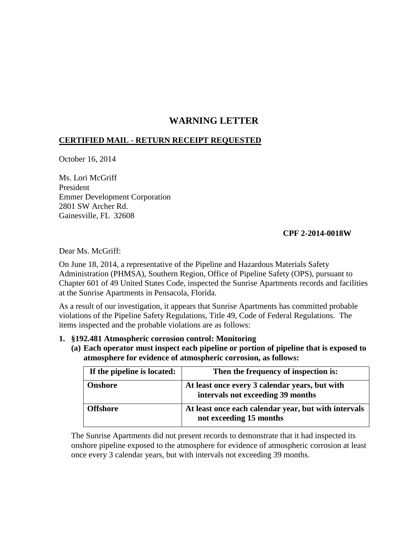# **WARNING LETTER**

# **CERTIFIED MAIL - RETURN RECEIPT REQUESTED**

October 16, 2014

Ms. Lori McGriff President Emmer Development Corporation 2801 SW Archer Rd. Gainesville, FL 32608

### **CPF 2-2014-0018W**

Dear Ms. McGriff:

On June 18, 2014, a representative of the Pipeline and Hazardous Materials Safety Administration (PHMSA), Southern Region, Office of Pipeline Safety (OPS), pursuant to Chapter 601 of 49 United States Code, inspected the Sunrise Apartments records and facilities at the Sunrise Apartments in Pensacola, Florida.

As a result of our investigation, it appears that Sunrise Apartments has committed probable violations of the Pipeline Safety Regulations, Title 49, Code of Federal Regulations. The items inspected and the probable violations are as follows:

#### **1. §192.481 Atmospheric corrosion control: Monitoring**

**(a) Each operator must inspect each pipeline or portion of pipeline that is exposed to atmosphere for evidence of atmospheric corrosion, as follows:**

| If the pipeline is located: | Then the frequency of inspection is:                                                |
|-----------------------------|-------------------------------------------------------------------------------------|
| <b>Onshore</b>              | At least once every 3 calendar years, but with<br>intervals not exceeding 39 months |
| <b>Offshore</b>             | At least once each calendar year, but with intervals<br>not exceeding 15 months     |

The Sunrise Apartments did not present records to demonstrate that it had inspected its onshore pipeline exposed to the atmosphere for evidence of atmospheric corrosion at least once every 3 calendar years, but with intervals not exceeding 39 months.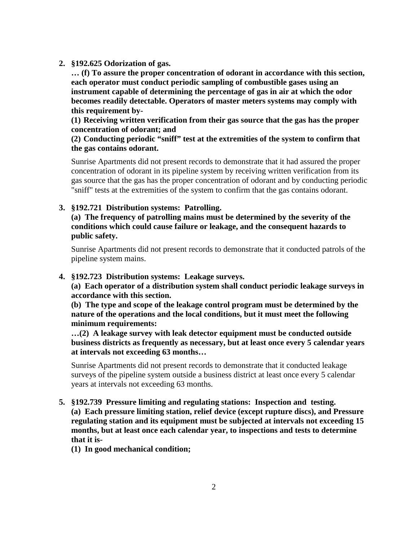**2. §192.625 Odorization of gas.** 

**… (f) To assure the proper concentration of odorant in accordance with this section, each operator must conduct periodic sampling of combustible gases using an instrument capable of determining the percentage of gas in air at which the odor becomes readily detectable. Operators of master meters systems may comply with this requirement by-** 

**(1) Receiving written verification from their gas source that the gas has the proper concentration of odorant; and** 

**(2) Conducting periodic "sniff" test at the extremities of the system to confirm that the gas contains odorant.** 

Sunrise Apartments did not present records to demonstrate that it had assured the proper concentration of odorant in its pipeline system by receiving written verification from its gas source that the gas has the proper concentration of odorant and by conducting periodic "sniff" tests at the extremities of the system to confirm that the gas contains odorant.

# **3. §192.721 Distribution systems: Patrolling.**

**(a) The frequency of patrolling mains must be determined by the severity of the conditions which could cause failure or leakage, and the consequent hazards to public safety.**

Sunrise Apartments did not present records to demonstrate that it conducted patrols of the pipeline system mains.

**4. §192.723 Distribution systems: Leakage surveys.** 

**(a) Each operator of a distribution system shall conduct periodic leakage surveys in accordance with this section.**

**(b) The type and scope of the leakage control program must be determined by the nature of the operations and the local conditions, but it must meet the following minimum requirements:**

**…(2) A leakage survey with leak detector equipment must be conducted outside business districts as frequently as necessary, but at least once every 5 calendar years at intervals not exceeding 63 months…** 

Sunrise Apartments did not present records to demonstrate that it conducted leakage surveys of the pipeline system outside a business district at least once every 5 calendar years at intervals not exceeding 63 months.

**5. §192.739 Pressure limiting and regulating stations: Inspection and testing. (a) Each pressure limiting station, relief device (except rupture discs), and Pressure regulating station and its equipment must be subjected at intervals not exceeding 15 months, but at least once each calendar year, to inspections and tests to determine that it is-** 

**(1) In good mechanical condition;**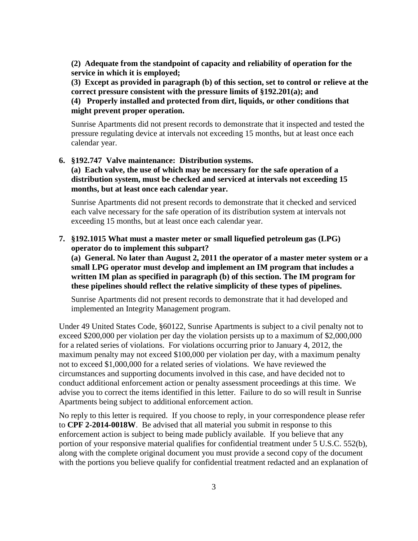**(2) Adequate from the standpoint of capacity and reliability of operation for the service in which it is employed;**

**(3) Except as provided in paragraph (b) of this section, set to control or relieve at the correct pressure consistent with the pressure limits of §192.201(a); and**

**(4) Properly installed and protected from dirt, liquids, or other conditions that might prevent proper operation.**

Sunrise Apartments did not present records to demonstrate that it inspected and tested the pressure regulating device at intervals not exceeding 15 months, but at least once each calendar year.

#### **6. §192.747 Valve maintenance: Distribution systems.**

**(a) Each valve, the use of which may be necessary for the safe operation of a distribution system, must be checked and serviced at intervals not exceeding 15 months, but at least once each calendar year.**

Sunrise Apartments did not present records to demonstrate that it checked and serviced each valve necessary for the safe operation of its distribution system at intervals not exceeding 15 months, but at least once each calendar year.

### **7. §192.1015 What must a master meter or small liquefied petroleum gas (LPG) operator do to implement this subpart?**

**(a) General. No later than August 2, 2011 the operator of a master meter system or a small LPG operator must develop and implement an IM program that includes a written IM plan as specified in paragraph (b) of this section. The IM program for these pipelines should reflect the relative simplicity of these types of pipelines.**

Sunrise Apartments did not present records to demonstrate that it had developed and implemented an Integrity Management program.

Under 49 United States Code, §60122, Sunrise Apartments is subject to a civil penalty not to exceed \$200,000 per violation per day the violation persists up to a maximum of \$2,000,000 for a related series of violations. For violations occurring prior to January 4, 2012, the maximum penalty may not exceed \$100,000 per violation per day, with a maximum penalty not to exceed \$1,000,000 for a related series of violations. We have reviewed the circumstances and supporting documents involved in this case, and have decided not to conduct additional enforcement action or penalty assessment proceedings at this time. We advise you to correct the items identified in this letter. Failure to do so will result in Sunrise Apartments being subject to additional enforcement action.

No reply to this letter is required. If you choose to reply, in your correspondence please refer to **CPF 2-2014-0018W**. Be advised that all material you submit in response to this enforcement action is subject to being made publicly available. If you believe that any portion of your responsive material qualifies for confidential treatment under 5 U.S.C. 552(b), along with the complete original document you must provide a second copy of the document with the portions you believe qualify for confidential treatment redacted and an explanation of